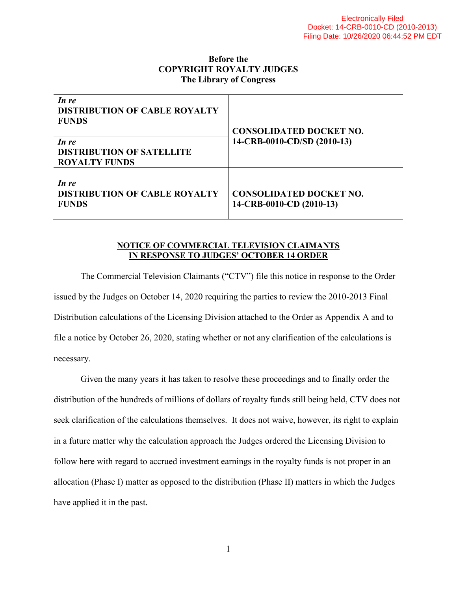### **Before the COPYRIGHT ROYALTY JUDGES The Library of Congress**

| In re<br><b>DISTRIBUTION OF CABLE ROYALTY</b><br><b>FUNDS</b><br>In re<br><b>DISTRIBUTION OF SATELLITE</b><br><b>ROYALTY FUNDS</b> | <b>CONSOLIDATED DOCKET NO.</b><br>14-CRB-0010-CD/SD (2010-13) |
|------------------------------------------------------------------------------------------------------------------------------------|---------------------------------------------------------------|
| In re<br><b>DISTRIBUTION OF CABLE ROYALTY</b><br><b>FUNDS</b>                                                                      | <b>CONSOLIDATED DOCKET NO.</b><br>14-CRB-0010-CD (2010-13)    |

#### **NOTICE OF COMMERCIAL TELEVISION CLAIMANTS IN RESPONSE TO JUDGES' OCTOBER 14 ORDER**

The Commercial Television Claimants ("CTV") file this notice in response to the Order issued by the Judges on October 14, 2020 requiring the parties to review the 2010-2013 Final Distribution calculations of the Licensing Division attached to the Order as Appendix A and to file a notice by October 26, 2020, stating whether or not any clarification of the calculations is necessary.

Given the many years it has taken to resolve these proceedings and to finally order the distribution of the hundreds of millions of dollars of royalty funds still being held, CTV does not seek clarification of the calculations themselves. It does not waive, however, its right to explain in a future matter why the calculation approach the Judges ordered the Licensing Division to follow here with regard to accrued investment earnings in the royalty funds is not proper in an allocation (Phase I) matter as opposed to the distribution (Phase II) matters in which the Judges have applied it in the past.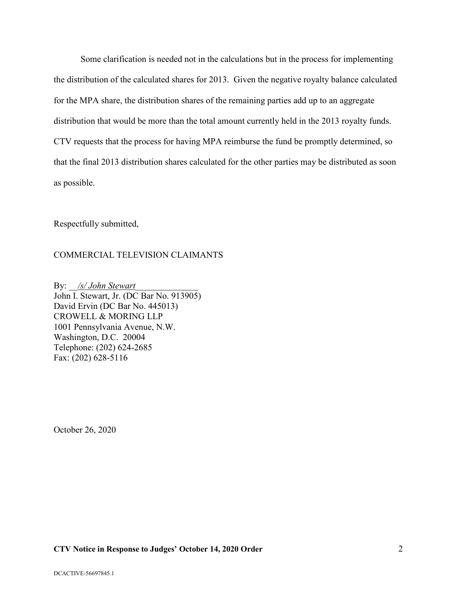Some clarification is needed not in the calculations but in the process for implementing the distribution of the calculated shares for 2013. Given the negative royalty balance calculated for the MPA share, the distribution shares of the remaining parties add up to an aggregate distribution that would be more than the total amount currently held in the 2013 royalty funds. CTV requests that the process for having MPA reimburse the fund be promptly determined, so that the final 2013 distribution shares calculated for the other parties may be distributed as soon as possible.

Respectfully submitted,

#### COMMERCIAL TELEVISION CLAIMANTS

By: <u>/s/ John Stewart</u> John I. Stewart, Jr. (DC Bar No. 913905) David Ervin (DC Bar No. 445013) CROWELL & MORING LLP 1001 Pennsylvania Avenue, N.W. Washington, D.C. 20004 Telephone: (202) 624-2685 Fax: (202) 628-5116

October 26, 2020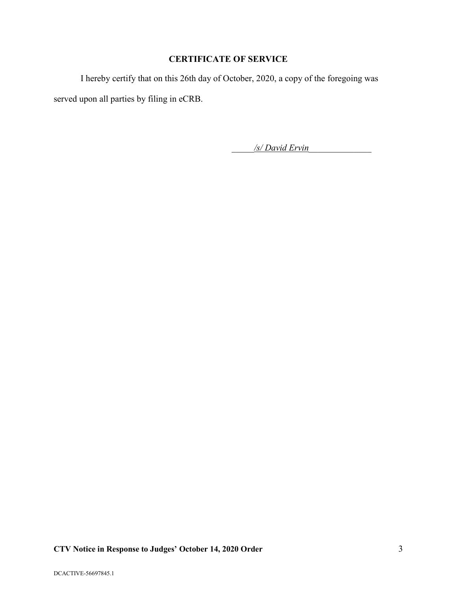## **CERTIFICATE OF SERVICE**

I hereby certify that on this 26th day of October, 2020, a copy of the foregoing was served upon all parties by filing in eCRB.

\_\_\_\_\_*/s/ David Ervin*\_\_\_\_\_\_\_\_\_\_\_\_\_\_